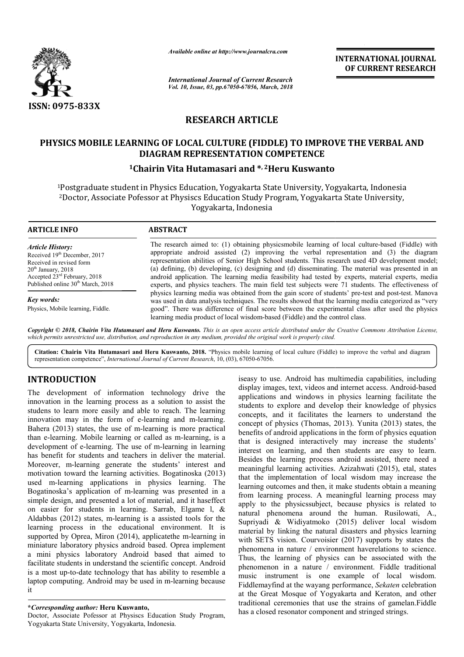

*Available online at http://www.journalcra.com*

*International Journal of Current Research Vol. 10, Issue, 03, pp.67050-67056, March, 2018*

**INTERNATIONAL JOURNAL OF CURRENT RESEARCH**

# **RESEARCH ARTICLE**

# **PHYSICS MOBILE LEARNING OF LOCAL CULTURE (FIDDLE) TO IMPROVE THE VERBAL AND (FIDDLE) TO DIAGRAM REPRESENTATION COMPETENCE**

# **1Chairin V Chairin Vita Hutamasari and \*, 2Heru Kuswanto**

<sup>1</sup>Postgraduate student in Physics Education, Yogyakarta State University, Yogyakarta, Indonesia<br><sup>2</sup>Doctor, Associate Pofessor at Physiscs Education Study Program, Yogyakarta State University, <sup>2</sup>Doctor, Associate Pofessor at Physiscs Education Study Program, Yogyakarta State University Yogyakarta, Indonesia

### **ARTICLE INFO ABSTRACT**

*Article History:* Received 19<sup>th</sup> December, 2017 Received in revised form  $20<sup>th</sup>$  January,  $2018$ Accepted 23rd February, 2018 Published online 30<sup>th</sup> March, 2018

*Key words:*

Physics, Mobile learning, Fiddle.

The research aimed to: (1) obtaining physicsmobile learning of local culture-based (Fiddle) with appropriate android assisted  $(2)$  improving the verbal representation and  $(3)$  the diagram representation abilities of S Senior High School students. This research used 4D development model; (a) defining, (b) developing, (c) designing and (d) disseminating. The material was presented in an android application. The learning media feasibility had tested by experts, material experts, media expert experts, and physics teachers. The main field test subjects were 71 students. The effectiveness of android application. The learning media feasibility had tested by experts, material experts, media experts, and physics teachers. The main field test subjects were 71 students. The effectiveness of physics learning media w was used in data analysis techniques. The results showed that the learning media categorized as "very good". There was difference of final score between the experimental class after used the physics learning media product of local wisdom-based (Fiddle) and the control class. e results showed that the learning media categorized as core between the experimental class after used the pl<br>based (Fiddle) and the control class.

Copyright © 2018, Chairin Vita Hutamasari and Heru Kuswanto. This is an open access article distributed under the Creative Commons Attribution License, which permits unrestricted use, distribution, and reproduction in any medium, provided the original work is properly cited.

Citation: Chairin Vita Hutamasari and Heru Kuswanto, 2018. "Physics mobile learning of local culture (Fiddle) to improve the verbal and diagram representation competence", *International Journal of Current Research* , 10, (03), 67050-67056.

# **INTRODUCTION**

The development of information technology drive the innovation in the learning process as a solution to assist the studens to learn more easily and able to reach. The learning innovation may in the form of e-learning and m-learning. Bahera (2013) states, the use of m-learning is more practical Bahera (2013) states, the use of m-learning is more practical than e-learning. Mobile learning or called as m-learning, is a development of e-learning. The use of m-learning in learning has benefit for students and teachers in deliver the material. Moreover, m-learning generate the students' interest and motivation toward the learning activities. Bogatinoska (2013) used m-learning applications in physics learning. The Bogatinoska's application of m-learning was presented in a simple design, and presented a lot of material, and it haseffect on easier for students in learning. Sarrab, Elgame l, & Aldabbas (2012) states, m-learning is a assisted tools for the learning process in the educational environment. It is learning process in the educational environment. It is supported by Oprea, Miron (2014), applicate the m-learning in miniature laboratory physics android based. Oprea implement a mini physics laboratory Android based that aimed to facilitate students in understand the scientific concept. Android is a most up-to-date technology that has ability to resemble a is a most up-to-date technology that has ability to resemble a laptop computing. Android may be used in m-learning because it learning in the use of m-learning<br>fit for students and teachers in deliver the students' in<br>toward the learning activities. Bogatino<br>learning applications in physics learning applications of m-learning was pres

Doctor, Associate Pofessor at Physiscs Education Study Program, Yogyakarta State University, Yogyakarta, Indonesia Indonesia.

iseasy to use. Android has multimedia capabilities, including iseasy to use. Android has multimedia capabilities, including display images, text, videos and internet access. Android-based applications and windows in physics learning facilitate the students to explore and develop their knowledge of physics concepts, and it facilitates the learners to understand the concept of physics (Thomas, 2013). Yunita (2013) states, the benefits of android applications in the form of physics equation that is designed interactively may increase the students' interest on learning, and then students are easy to learn. Besides the learning process android assisted, there need a meaningful learning activities. Azizahwati (2015), etal, states that the implementation of local wisdom may increase the learning outcomes and then, it make students obtain a meaning from learning process. A meaningful l learning process may apply to the physicssubject, because physics is related to natural phenomena around the human. Rusilowati, A., Supriyadi & Widiyatmoko (2015) deliver local wisdom material by linking the natural disasters and physics learning material by linking the natural disasters and physics learning<br>with SETS vision. Courvoisier (2017) supports by states the phenomena in nature / environment haverelations to science. Thus, the learning of physics can be associated with the Thus, the learning of physics can be associated with the phenomenon in a nature  $/$  environment. Fiddle traditional music instrument is one example of local wisdom. Fiddlemayfind at the wayang performance, *Sekaten* celebration at the Great Mosque of Yogyakarta Great Yogyakarta and Keraton, and other traditional ceremonies that use the strains of gamelan.Fiddle traditional ceremonies that use the strains of gamela<br>has a closed resonator component and stringed strings. 2013). Yunita (2013) states, the oncept of physics (Thomas, 2013). Yunita (2013) states, the oneefits of android applications in the form of physics equation hat is designed interactively may increase the students' interes the physics subject, because physics is related to<br>henomena around the human. Rusilowati, A.,<br>& Widiyatmoko (2015) deliver local wisdom

**<sup>\*</sup>***Corresponding author:* **Heru Kuswanto,**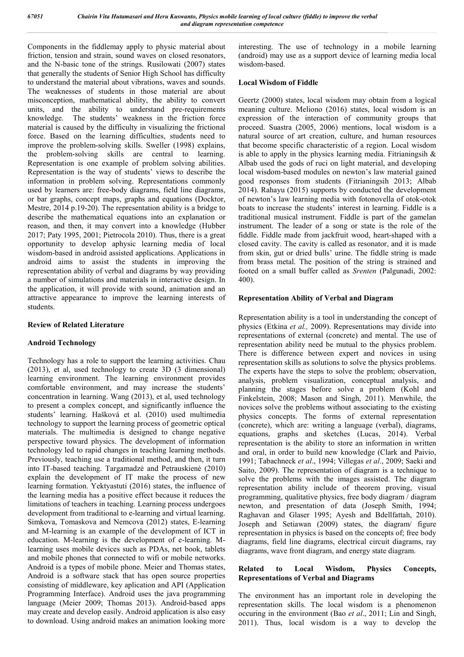Components in the fiddlemay apply to physic material about friction, tension and strain, sound waves on closed resonators, and the N-basic tone of the strings. Rusilowati (2007) states that generally the students of Senior High School has difficulty to understand the material about vibrations, waves and sounds. The weaknesses of students in those material are about misconception, mathematical ability, the ability to convert units, and the ability to understand pre-requirements knowledge. The students' weakness in the friction force material is caused by the difficulty in visualizing the frictional force. Based on the learning difficulties, students need to improve the problem-solving skills. Sweller (1998) explains, the problem-solving skills are central to learning. Representation is one example of problem solving abilities. Representation is the way of students' views to describe the information in problem solving. Representations commonly used by learners are: free-body diagrams, field line diagrams, or bar graphs, concept maps, graphs and equations (Docktor, Mestre, 2014 p.19-20). The representation ability is a bridge to describe the mathematical equations into an explanation or reason, and then, it may convert into a knowledge (Hubber 2017; Paty 1995, 2001; Pietrocola 2010). Thus, there is a great opportunity to develop aphysic learning media of local wisdom-based in android assisted applications. Applications in android aims to assist the students in improving the representation ability of verbal and diagrams by way providing a number of simulations and materials in interactive design. In the application, it will provide with sound, animation and an attractive appearance to improve the learning interests of students.

## **Review of Related Literature**

# **Android Technology**

Technology has a role to support the learning activities. Chau (2013), et al, used technology to create 3D (3 dimensional) learning environment. The learning environment provides comfortable environment, and may increase the students' concentration in learning. Wang (2013), et al, used technology to present a complex concept, and significantly influence the students' learning. Hašková et al. (2010) used multimedia technology to support the learning process of geometric optical materials. The multimedia is designed to change negative perspective toward physics. The development of information technology led to rapid changes in teaching learning methods. Previously, teaching use a traditional method, and then, it turn into IT-based teaching. Targamadzė and Petrauskienė (2010) explain the development of IT make the process of new learning formation. Yektyastuti (2016) states, the influence of the learning media has a positive effect because it reduces the limitations of teachers in teaching. Learning process undergoes development from traditional to e-learning and virtual learning. Simkova, Tomaskova and Nemcova (2012) states, E-learning and M-learning is an example of the development of ICT in education. M-learning is the development of e-learning. Mlearning uses mobile devices such as PDAs, net book, tablets and mobile phones that connected to wifi or mobile networks. Android is a types of mobile phone. Meier and Thomas states, Android is a software stack that has open source properties consisting of middleware, key aplication and API (Application Programming Interface). Android uses the java programming language (Meier 2009; Thomas 2013). Android-based apps may create and develop easily. Android application is also easy to download. Using android makes an animation looking more

interesting. The use of technology in a mobile learning (android) may use as a support device of learning media local wisdom-based.

# **Local Wisdom of Fiddle**

Geertz (2000) states, local wisdom may obtain from a logical meaning culture. Meliono (2016) states, local wisdom is an expression of the interaction of community groups that proceed. Suastra (2005, 2006) mentions, local wisdom is a natural source of art creation, culture, and human resources that become specific characteristic of a region. Local wisdom is able to apply in the physics learning media. Fitrianingsih  $\&$ Albab used the gods of ruci on light material, and developing local wisdom-based modules on newton's law material gained good responses from students (Fitrianingsih 2013; Albab 2014). Rahayu (2015) supports by conducted the development of newton's law learning media with fotonovella of otok-otok boats to increase the students' interest in learning. Fiddle is a traditional musical instrument. Fiddle is part of the gamelan instrument. The leader of a song or state is the role of the fiddle. Fiddle made from jackfruit wood, heart-shaped with a closed cavity. The cavity is called as resonator, and it is made from skin, gut or dried bulls' urine. The fiddle string is made from brass metal. The position of the string is strained and footed on a small buffer called as *Srenten* (Palgunadi, 2002: 400).

# **Representation Ability of Verbal and Diagram**

Representation ability is a tool in understanding the concept of physics (Etkina *et al.,* 2009). Representations may divide into representations of external (concrete) and mental. The use of representation ability need be mutual to the physics problem. There is difference between expert and novices in using representation skills as solutions to solve the physics problems. The experts have the steps to solve the problem; observation, analysis, problem visualization, conceptual analysis, and planning the stages before solve a problem (Kohl and Finkelstein, 2008; Mason and Singh, 2011). Menwhile, the novices solve the problems without associating to the existing physics concepts. The forms of external representation (concrete), which are: writing a language (verbal), diagrams, equations, graphs and sketches (Lucas, 2014). Verbal representation is the ability to store an information in written and oral, in order to build new knowledge (Clark and Paivio, 1991; Tabachneck *et al*., 1994; Villegas *et al*., 2009; Saeki and Saito, 2009). The representation of diagram is a technique to solve the problems with the images assisted. The diagram representation ability include of theorem proving, visual programming, qualitative physics, free body diagram / diagram newton, and presentation of data (Joseph Smith, 1994; Raghavan and Glaser 1995; Ayesh and Bdellfattah, 2010). Joseph and Setiawan (2009) states, the diagram/ figure representation in physics is based on the concepts of; free body diagrams, field line diagrams, electrical circuit diagrams, ray diagrams, wave front diagram, and energy state diagram.

## **Related to Local Wisdom, Physics Concepts, Representations of Verbal and Diagrams**

The environment has an important role in developing the representation skills. The local wisdom is a phenomenon occuring in the environment (Bao *et al*., 2011; Lin and Singh, 2011). Thus, local wisdom is a way to develop the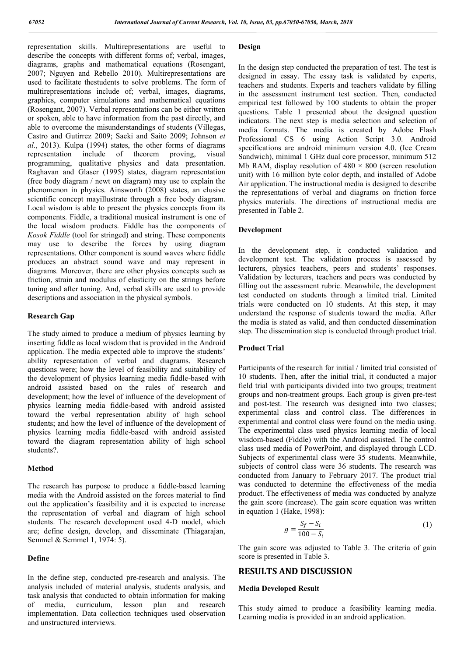representation skills. Multirepresentations are useful to describe the concepts with different forms of; verbal, images, diagrams, graphs and mathematical equations (Rosengant, 2007; Nguyen and Rebello 2010). Multirepresentations are used to facilitate thestudents to solve problems. The form of multirepresentations include of; verbal, images, diagrams, graphics, computer simulations and mathematical equations (Rosengant, 2007). Verbal representations can be either written or spoken, able to have information from the past directly, and able to overcome the misunderstandings of students (Villegas, Castro and Gutirrez 2009; Saeki and Saito 2009; Johnson *et al*., 2013). Kulpa (1994) states, the other forms of diagrams representation include of theorem proving, visual programming, qualitative physics and data presentation. Raghavan and Glaser (1995) states, diagram representation (free body diagram / newt on diagram) may use to explain the phenomenon in physics. Ainsworth (2008) states, an elusive scientific concept mayillustrate through a free body diagram. Local wisdom is able to present the physics concepts from its components. Fiddle, a traditional musical instrument is one of the local wisdom products. Fiddle has the components of *Kosok Fiddle* (tool for stringed) and string. These components may use to describe the forces by using diagram representations. Other component is sound waves where fiddle produces an abstract sound wave and may represent in diagrams. Moreover, there are other physics concepts such as friction, strain and modulus of elasticity on the strings before tuning and after tuning. And, verbal skills are used to provide descriptions and association in the physical symbols.

### **Research Gap**

The study aimed to produce a medium of physics learning by inserting fiddle as local wisdom that is provided in the Android application. The media expected able to improve the students' ability representation of verbal and diagrams. Research questions were; how the level of feasibility and suitability of the development of physics learning media fiddle-based with android assisted based on the rules of research and development; how the level of influence of the development of physics learning media fiddle-based with android assisted toward the verbal representation ability of high school students; and how the level of influence of the development of physics learning media fiddle-based with android assisted toward the diagram representation ability of high school students?.

#### **Method**

The research has purpose to produce a fiddle-based learning media with the Android assisted on the forces material to find out the application's feasibility and it is expected to increase the representation of verbal and diagram of high school students. The research development used 4-D model, which are; define design, develop, and disseminate (Thiagarajan, Semmel & Semmel 1, 1974: 5).

#### **Define**

In the define step, conducted pre-research and analysis. The analysis included of material analysis, students analysis, and task analysis that conducted to obtain information for making of media, curriculum, lesson plan and research implementation. Data collection techniques used observation and unstructured interviews.

#### **Design**

In the design step conducted the preparation of test. The test is designed in essay. The essay task is validated by experts, teachers and students. Experts and teachers validate by filling in the assessment instrument test section. Then, conducted empirical test followed by 100 students to obtain the proper questions. Table 1 presented about the designed question indicators. The next step is media selection and selection of media formats. The media is created by Adobe Flash Professional CS 6 using Action Script 3.0. Android specifications are android minimum version 4.0. (Ice Cream Sandwich), minimal 1 GHz dual core processor, minimum 512 Mb RAM, display resolution of  $480 \times 800$  (screen resolution unit) with 16 million byte color depth, and installed of Adobe Air application. The instructional media is designed to describe the representations of verbal and diagrams on friction force physics materials. The directions of instructional media are presented in Table 2.

#### **Development**

In the development step, it conducted validation and development test. The validation process is assessed by lecturers, physics teachers, peers and students' responses. Validation by lecturers, teachers and peers was conducted by filling out the assessment rubric. Meanwhile, the development test conducted on students through a limited trial. Limited trials were conducted on 10 students. At this step, it may understand the response of students toward the media. After the media is stated as valid, and then conducted dissemination step. The dissemination step is conducted through product trial.

## **Product Trial**

Participants of the research for initial / limited trial consisted of 10 students. Then, after the initial trial, it conducted a major field trial with participants divided into two groups; treatment groups and non-treatment groups. Each group is given pre-test and post-test. The research was designed into two classes; experimental class and control class. The differences in experimental and control class were found on the media using. The experimental class used physics learning media of local wisdom-based (Fiddle) with the Android assisted. The control class used media of PowerPoint, and displayed through LCD. Subjects of experimental class were 35 students. Meanwhile, subjects of control class were 36 students. The research was conducted from January to February 2017. The product trial was conducted to determine the effectiveness of the media product. The effectiveness of media was conducted by analyze the gain score (increase). The gain score equation was written in equation 1 (Hake, 1998):

$$
g = \frac{S_f - S_i}{100 - S_i} \tag{1}
$$

The gain score was adjusted to Table 3. The criteria of gain score is presented in Table 3.

# **RESULTS AND DISCUSSION**

#### **Media Developed Result**

This study aimed to produce a feasibility learning media. Learning media is provided in an android application.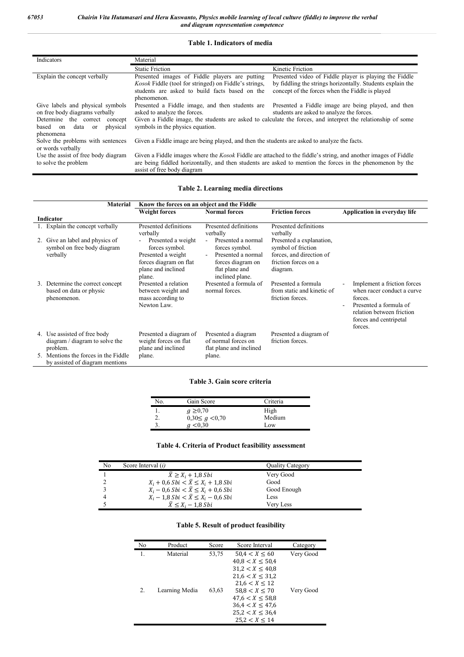# **Table 1. Indicators of media**

| Indicators                                                                                                                                                        | Material                                                                                                                                                                                                                                                                                                                                |                                                                                                                                                                         |  |
|-------------------------------------------------------------------------------------------------------------------------------------------------------------------|-----------------------------------------------------------------------------------------------------------------------------------------------------------------------------------------------------------------------------------------------------------------------------------------------------------------------------------------|-------------------------------------------------------------------------------------------------------------------------------------------------------------------------|--|
|                                                                                                                                                                   | <b>Static Friction</b>                                                                                                                                                                                                                                                                                                                  | Kinetic Friction                                                                                                                                                        |  |
| Explain the concept verbally                                                                                                                                      | Presented images of Fiddle players are putting<br><i>Kosok</i> Fiddle (tool for stringed) on Fiddle's strings,<br>students are asked to build facts based on the<br>phenomenon.                                                                                                                                                         | Presented video of Fiddle player is playing the Fiddle<br>by fiddling the strings horizontally. Students explain the<br>concept of the forces when the Fiddle is played |  |
| Give labels and physical symbols<br>on free body diagrams verbally<br>Determine the correct concept<br>physical<br>based on<br>data<br><sub>or</sub><br>phenomena | Presented a Fiddle image, and then students are<br>Presented a Fiddle image are being played, and then<br>asked to analyze the forces.<br>students are asked to analyze the forces.<br>Given a Fiddle image, the students are asked to calculate the forces, and interpret the relationship of some<br>symbols in the physics equation. |                                                                                                                                                                         |  |
| Solve the problems with sentences<br>or words verbally                                                                                                            | Given a Fiddle image are being played, and then the students are asked to analyze the facts.                                                                                                                                                                                                                                            |                                                                                                                                                                         |  |
| Use the assist of free body diagram<br>to solve the problem                                                                                                       | Given a Fiddle images where the <i>Kosok</i> Fiddle are attached to the fiddle's string, and another images of Fiddle<br>are being fiddled horizontally, and then students are asked to mention the forces in the phenomenon by the<br>assist of free body diagram                                                                      |                                                                                                                                                                         |  |

# **Table 2. Learning media directions**

| <b>Material</b>                                                            | Know the forces on an object and the Fiddle                                                                          |                                                                                                                      |                                                                                                                |                                                                                                                                                                  |
|----------------------------------------------------------------------------|----------------------------------------------------------------------------------------------------------------------|----------------------------------------------------------------------------------------------------------------------|----------------------------------------------------------------------------------------------------------------|------------------------------------------------------------------------------------------------------------------------------------------------------------------|
|                                                                            | <b>Weight forces</b>                                                                                                 | <b>Normal forces</b>                                                                                                 | <b>Friction forces</b>                                                                                         | Application in everyday life                                                                                                                                     |
| Indicator                                                                  |                                                                                                                      |                                                                                                                      |                                                                                                                |                                                                                                                                                                  |
| 1. Explain the concept verbally                                            | Presented definitions<br>verbally                                                                                    | Presented definitions<br>verbally                                                                                    | Presented definitions<br>verbally                                                                              |                                                                                                                                                                  |
| 2. Give an label and physics of<br>symbol on free body diagram<br>verbally | Presented a weight<br>forces symbol.<br>Presented a weight<br>forces diagram on flat<br>plane and inclined<br>plane. | Presented a normal<br>forces symbol.<br>Presented a normal<br>forces diagram on<br>flat plane and<br>inclined plane. | Presented a explanation,<br>symbol of friction<br>forces, and direction of<br>friction forces on a<br>diagram. |                                                                                                                                                                  |
| 3. Determine the correct concept<br>based on data or physic<br>phenomenon. | Presented a relation<br>between weight and<br>mass according to<br>Newton Law.                                       | Presented a formula of<br>normal forces.                                                                             | Presented a formula<br>from static and kinetic of<br>friction forces.                                          | Implement a friction forces<br>when racer conduct a curve<br>forces.<br>Presented a formula of<br>relation between friction<br>forces and centripetal<br>forces. |
| 4. Use assisted of free body<br>diagram / diagram to solve the<br>problem. | Presented a diagram of<br>weight forces on flat<br>plane and inclined                                                | Presented a diagram<br>of normal forces on<br>flat plane and inclined                                                | Presented a diagram of<br>friction forces.                                                                     |                                                                                                                                                                  |
| 5. Mentions the forces in the Fiddle<br>by assisted of diagram mentions    | plane.                                                                                                               | plane.                                                                                                               |                                                                                                                |                                                                                                                                                                  |

#### **Table 3. Gain score criteria**

| No. | Gain Score              | Criteria |
|-----|-------------------------|----------|
|     | $g \ge 0.70$            | High     |
| 4.  | $0,30 \leq g \leq 0,70$ | Medium   |
|     | < 0.30                  | Low      |

# **Table 4. Criteria of Product feasibility assessment**

| No | Score Interval ( <i>i</i> )                   | <b>Ouality Category</b> |  |
|----|-----------------------------------------------|-------------------------|--|
|    | $\overline{X} \geq X_i + 1.8 Sbi$             | Very Good               |  |
|    | $X_i + 0, 6 Sbi < \bar{X} \le X_i + 1, 8 Sbi$ | Good                    |  |
|    | $X_i - 0.6 Sbi < \bar{X} \le X_i + 0.6 Sbi$   | Good Enough             |  |
|    | $X_i - 1.8 Sbi < \bar{X} \le X_i - 0.6 Sbi$   | Less                    |  |
|    | $\overline{X} \leq X_i - 1.8 Sbi$             | Verv Less               |  |

# **Table 5. Result of product feasibility**

| No | Product        | Score | Score Interval       | Category  |
|----|----------------|-------|----------------------|-----------|
|    | Material       | 53,75 | 50.4 < X < 60        | Very Good |
|    |                |       | 40.8 < X < 50.4      |           |
|    |                |       | $31.2 < X \leq 40.8$ |           |
|    |                |       | $21.6 < X \leq 31.2$ |           |
|    |                |       | $21.6 < X \leq 12$   |           |
| 2. | Learning Media | 63.63 | 58.8 < X < 70        | Very Good |
|    |                |       | $47.6 < X \leq 58.8$ |           |
|    |                |       | $36.4 < X \leq 47.6$ |           |
|    |                |       | $25.2 < X \leq 36.4$ |           |
|    |                |       | 25.2 < X < 14        |           |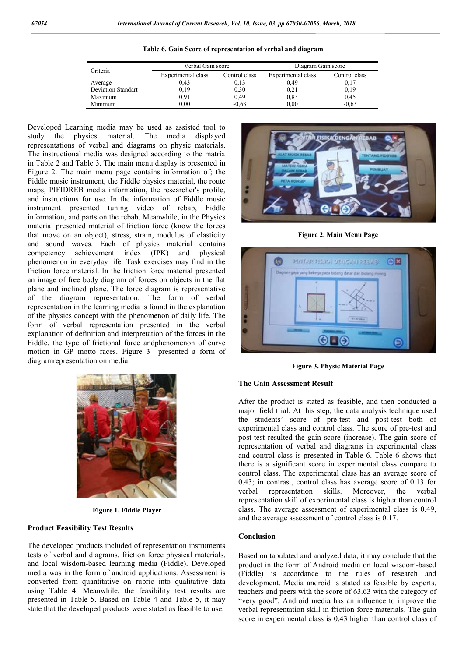| Criteria                  | Verbal Gain score  |               | Diagram Gain score |               |
|---------------------------|--------------------|---------------|--------------------|---------------|
|                           | Experimental class | Control class | Experimental class | Control class |
| Average                   | 0.43               | 0,13          | 0.49               | 0,17          |
| <b>Deviation Standart</b> | 0,19               | 0,30          | 0,21               | 0,19          |
| Maximum                   | 0.91               | 0.49          | 0.83               | 0.45          |
| Minimum                   | 0.00               | $-0.63$       | 0.00               | $-0.63$       |

**Table 6. Gain Score of representation of verbal and diagram**

Developed Learning media may be used as assisted tool to study the physics material. The media displayed representations of verbal and diagrams on physic materials. The instructional media was designed according to the matrix in Table 2 and Table 3. The main menu display is presented in Figure 2. The main menu page contains information of; the Fiddle music instrument, the Fiddle physics material, the route maps, PIFIDREB media information, the researcher's profile, and instructions for use. In the information of Fiddle music instrument presented tuning video of rebab, Fiddle information, and parts on the rebab. Meanwhile, in the Physics material presented material of friction force (know the forces that move on an object), stress, strain, modulus of elasticity and sound waves. Each of physics material contains competency achievement index (IPK) and physical phenomenon in everyday life. Task exercises may find in the friction force material. In the friction force material presented an image of free body diagram of forces on objects in the flat plane and inclined plane. The force diagram is representative of the diagram representation. The form of verbal representation in the learning media is found in the explanation of the physics concept with the phenomenon of daily life. The form of verbal representation presented in the verbal explanation of definition and interpretation of the forces in the Fiddle, the type of frictional force andphenomenon of curve motion in GP motto races. Figure 3 presented a form of diagramrepresentation on media.



**Figure 1. Fiddle Player**

## **Product Feasibility Test Results**

The developed products included of representation instruments tests of verbal and diagrams, friction force physical materials, and local wisdom-based learning media (Fiddle). Developed media was in the form of android applications. Assessment is converted from quantitative on rubric into qualitative data using Table 4. Meanwhile, the feasibility test results are presented in Table 5. Based on Table 4 and Table 5, it may state that the developed products were stated as feasible to use.



**Figure 2. Main Menu Page**



**Figure 3. Physic Material Page**

#### **The Gain Assessment Result**

After the product is stated as feasible, and then conducted a major field trial. At this step, the data analysis technique used the students' score of pre-test and post-test both of experimental class and control class. The score of pre-test and post-test resulted the gain score (increase). The gain score of representation of verbal and diagrams in experimental class and control class is presented in Table 6. Table 6 shows that there is a significant score in experimental class compare to control class. The experimental class has an average score of 0.43; in contrast, control class has average score of 0.13 for verbal representation skills. Moreover, the verbal representation skill of experimental class is higher than control class. The average assessment of experimental class is 0.49, and the average assessment of control class is 0.17.

## **Conclusion**

Based on tabulated and analyzed data, it may conclude that the product in the form of Android media on local wisdom-based (Fiddle) is accordance to the rules of research and development. Media android is stated as feasible by experts, teachers and peers with the score of 63.63 with the category of "very good". Android media has an influence to improve the verbal representation skill in friction force materials. The gain score in experimental class is 0.43 higher than control class of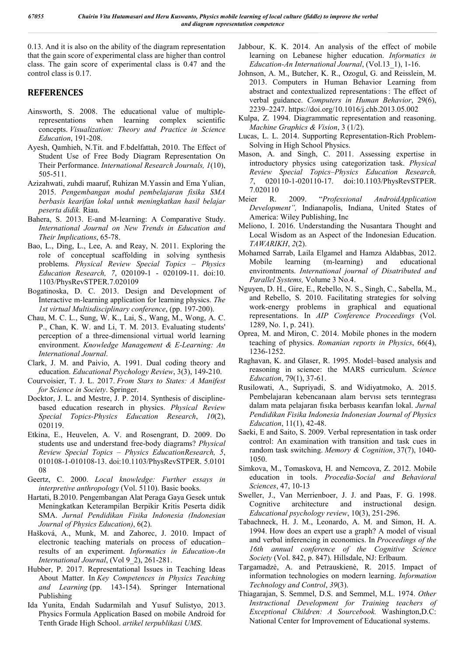0.13. And it is also on the ability of the diagram representation that the gain score of experimental class are higher than control class. The gain score of experimental class is 0.47 and the control class is 0.17.

# **REFERENCES**

- Ainsworth, S. 2008. The educational value of multiplerepresentations when learning complex scientific concepts. *Visualization: Theory and Practice in Science Education*, 191-208.
- Ayesh, Qamhieh, N.Tit. and F.bdelfattah, 2010. The Effect of Student Use of Free Body Diagram Representation On Their Performance. *International Research Journals, 1*(10), 505-511.
- Azizahwati, zuhdi maaruf, Ruhizan M.Yassin and Ema Yulian, 2015. *Pengembangan modul pembelajaran fisika SMA berbasis kearifan lokal untuk meningkatkan hasil belajar peserta didik.* Riau.
- Bahera, S. 2013. E-and M-learning: A Comparative Study. *International Journal on New Trends in Education and Their Implications*, 65-78.
- Bao, L., Ding, L., Lee, A. and Reay, N. 2011. Exploring the role of conceptual scaffolding in solving synthesis problems. *Physical Review Special Topics – Physics Education Research, 7*, 020109-1 - 020109-11. doi:10. 1103/PhysRevSTPER.7.020109
- Bogatinoska, D. C. 2013. Design and Development of Interactive m-learning application for learning physics. *The 1st virtual Multisdisciplinary conference*, (pp. 197-200).
- Chau, M. C. L., Sung, W. K., Lai, S., Wang, M., Wong, A. C. P., Chan, K. W. and Li, T. M. 2013. Evaluating students' perception of a three-dimensional virtual world learning environment. *Knowledge Management & E-Learning: An International Journal*.
- Clark, J. M. and Paivio, A. 1991. Dual coding theory and education. *Educational Psychology Review*, 3(3), 149-210.
- Courvoisier, T. J. L. 2017. *From Stars to States: A Manifest for Science in Society*. Springer.
- Docktor, J. L. and Mestre, J. P. 2014. Synthesis of disciplinebased education research in physics. *Physical Review Special Topics-Physics Education Research*, *10*(2), 020119.
- Etkina, E., Heuvelen, A. V. and Rosengrant, D. 2009. Do students use and understand free-body diagrams? *Physical Review Special Topics – Physics EducationResearch, 5*, 010108-1-010108-13. doi:10.1103/PhysRevSTPER. 5.0101 08
- Geertz, C. 2000. *Local knowledge: Further essays in interpretive anthropology* (Vol. 5110). Basic books.
- Hartati, B.2010. Pengembangan Alat Peraga Gaya Gesek untuk Meningkatkan Keterampilan Berpikir Kritis Peserta didik SMA. *Jurnal Pendidikan Fisika Indonesia (Indonesian Journal of Physics Education)*, 6(2).
- Hašková, A., Munk, M. and Zahorec, J. 2010. Impact of electronic teaching materials on process of education– results of an experiment. *Informatics in Education-An International Journal*, (Vol 9\_2), 261-281.
- Hubber, P. 2017. Representational Issues in Teaching Ideas About Matter. In *Key Competences in Physics Teaching and Learning* (pp. 143-154). Springer International Publishing
- Ida Yunita, Endah Sudarmilah and Yusuf Sulistyo, 2013. Physics Formula Application Based on mobile Android for Tenth Grade High School. *artikel terpublikasi UMS*.
- Jabbour, K. K. 2014. An analysis of the effect of mobile learning on Lebanese higher education. *Informatics in Education-An International Journal*, (Vol.13\_1), 1-16.
- Johnson, A. M., Butcher, K. R., Ozogul, G. and Reisslein, M. 2013. Computers in Human Behavior Learning from abstract and contextualized representations : The effect of verbal guidance. *Computers in Human Behavior*, 29(6), 2239–2247. https://doi.org/10.1016/j.chb.2013.05.002
- Kulpa, Z. 1994. Diagrammatic representation and reasoning. *Machine Graphics & Vision*, 3 (1/2).
- Lucas, L. L. 2014. Supporting Representation-Rich Problem-Solving in High School Physics.
- Mason, A. and Singh, C. 2011. Assessing expertise in introductory physics using categorization task. *Physical Review Special Topics–Physics Education Research, 7*, 020110-1-020110-17. doi:10.1103/PhysRevSTPER. 7.020110
- Meier R. 2009. "*Professional AndroidApplication Development",* Indianapolis, Indiana, United States of America: Wiley Publishing, Inc
- Meliono, I. 2016. Understanding the Nusantara Thought and Local Wisdom as an Aspect of the Indonesian Education. *TAWARIKH*, *2*(2).
- Mohamed Sarrab, Laila Elgamel and Hamza Aldabbas, 2012. Mobile learning (m-learning) and educational environtments. *International journal of Disatributed and Parallel Systems,* Volume 3 No.4.
- Nguyen, D. H., Gire, E., Rebello, N. S., Singh, C., Sabella, M., and Rebello, S. 2010. Facilitating strategies for solving work-energy problems in graphical and equational representations. In *AIP Conference Proceedings* (Vol. 1289, No. 1, p. 241).
- Oprea, M. and Miron, C. 2014. Mobile phones in the modern teaching of physics. *Romanian reports in Physics*, 66(4), 1236-1252.
- Raghavan, K. and Glaser, R. 1995. Model–based analysis and reasoning in science: the MARS curriculum. *Science Education*, 79(1), 37-61.
- Rusilowati, A., Supriyadi, S. and Widiyatmoko, A. 2015. Pembelajaran kebencanaan alam bervısı sets terıntegrası dalam mata pelajaran fısıka berbasıs kearıfan lokal. *Jurnal Pendidikan Fisika Indonesia Indonesian Journal of Physics Education*, 11(1), 42-48.
- Saeki, E and Saito, S. 2009. Verbal representation in task order control: An examination with transition and task cues in random task switching. *Memory & Cognition*, 37(7), 1040- 1050.
- Simkova, M., Tomaskova, H. and Nemcova, Z. 2012. Mobile education in tools. *Procedia-Social and Behavioral Sciences*, 47, 10-13
- Sweller, J., Van Merrienboer, J. J. and Paas, F. G. 1998. Cognitive architecture and instructional design. *Educational psychology review*, 10(3), 251-296.
- Tabachneck, H. J. M., Leonardo, A. M. and Simon, H. A. 1994. How does an expert use a graph? A model of visual and verbal inferencing in economics. In *Proceedings of the 16th annual conference of the Cognitive Science Society* (Vol. 842, p. 847). Hillsdale, NJ: Erlbaum.
- Targamadzė, A. and Petrauskienė, R. 2015. Impact of information technologies on modern learning. *Information Technology and Control*, *39*(3).
- Thiagarajan, S. Semmel, D.S. and Semmel, M.L. 1974. *Other Instructional Development for Training teachers of Exceptional Children: A Sourcebook.* Washington,D.C: National Center for Improvement of Educational systems.